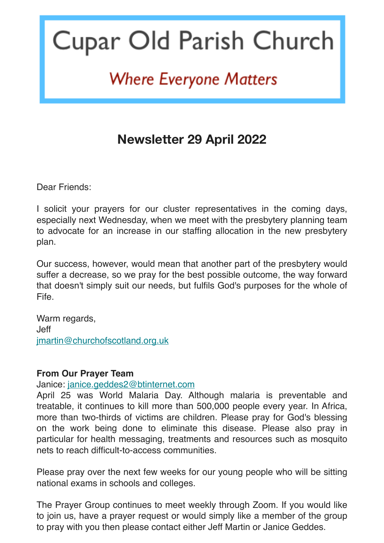# Cupar Old Parish Church

## **Where Everyone Matters**

### **Newsletter 29 April 2022**

Dear Friends:

I solicit your prayers for our cluster representatives in the coming days, especially next Wednesday, when we meet with the presbytery planning team to advocate for an increase in our staffing allocation in the new presbytery plan.

Our success, however, would mean that another part of the presbytery would suffer a decrease, so we pray for the best possible outcome, the way forward that doesn't simply suit our needs, but fulfils God's purposes for the whole of Fife.

Warm regards. Jeff [jmartin@churchofscotland.org.uk](mailto:jmartin@churchofscotland.org.uk)

#### **From Our Prayer Team**

Janice: [janice.geddes2@btinternet.com](mailto:janice.geddes2@btinternet.com)

April 25 was World Malaria Day. Although malaria is preventable and treatable, it continues to kill more than 500,000 people every year. In Africa, more than two-thirds of victims are children. Please pray for God's blessing on the work being done to eliminate this disease. Please also pray in particular for health messaging, treatments and resources such as mosquito nets to reach difficult-to-access communities.

Please pray over the next few weeks for our young people who will be sitting national exams in schools and colleges.

The Prayer Group continues to meet weekly through Zoom. If you would like to join us, have a prayer request or would simply like a member of the group to pray with you then please contact either Jeff Martin or Janice Geddes.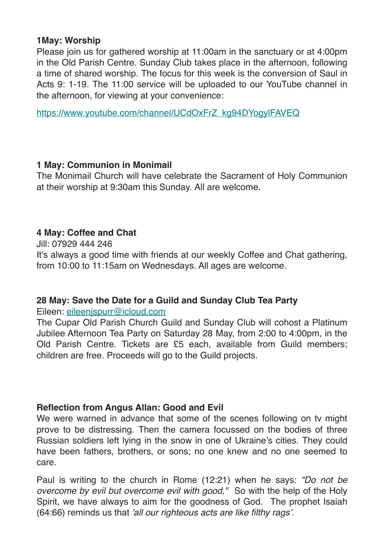#### **1May: Worship**

Please join us for gathered worship at 11:00am in the sanctuary or at 4:00pm in the Old Parish Centre. Sunday Club takes place in the afternoon, following a time of shared worship. The focus for this week is the conversion of Saul in Acts 9: 1-19. The 11:00 service will be uploaded to our YouTube channel in the afternoon, for viewing at your convenience:

[https://www.youtube.com/channel/UCdOxFrZ\\_kg94DYogylFAVEQ](https://www.youtube.com/channel/UCdOxFrZ_kg94DYogylFAVEQ)

#### **1 May: Communion in Monimail**

The Monimail Church will have celebrate the Sacrament of Holy Communion at their worship at 9:30am this Sunday. All are welcome.

#### **4 May: Coffee and Chat**

Jill: 07929 444 246 It's always a good time with friends at our weekly Coffee and Chat gathering, from 10:00 to 11:15am on Wednesdays. All ages are welcome.

#### **28 May: Save the Date for a Guild and Sunday Club Tea Party**

Eileen: [eileenjspurr@icloud.com](mailto:eileenjspurr@icloud.com)

The Cupar Old Parish Church Guild and Sunday Club will cohost a Platinum Jubilee Afternoon Tea Party on Saturday 28 May, from 2:00 to 4:00pm, in the Old Parish Centre. Tickets are £5 each, available from Guild members; children are free. Proceeds will go to the Guild projects.

#### **Reflection from Angus Allan: Good and Evil**

We were warned in advance that some of the scenes following on tv might prove to be distressing. Then the camera focussed on the bodies of three Russian soldiers left lying in the snow in one of Ukraine's cities. They could have been fathers, brothers, or sons; no one knew and no one seemed to care.

Paul is writing to the church in Rome (12:21) when he says: *"Do not be overcome by evil but overcome evil with good,"* So with the help of the Holy Spirit, we have always to aim for the goodness of God. The prophet Isaiah (64:66) reminds us that *'all our righteous acts are like filthy rags'*.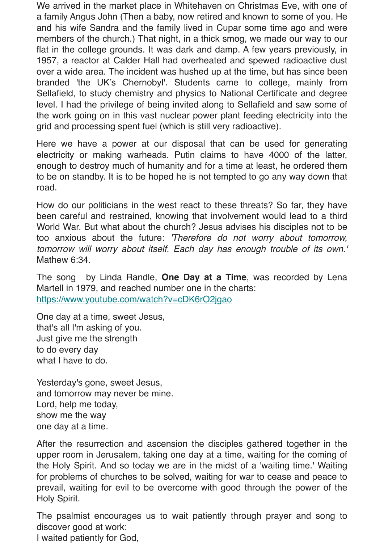We arrived in the market place in Whitehaven on Christmas Eve, with one of a family Angus John (Then a baby, now retired and known to some of you. He and his wife Sandra and the family lived in Cupar some time ago and were members of the church.) That night, in a thick smog, we made our way to our flat in the college grounds. It was dark and damp. A few years previously, in 1957, a reactor at Calder Hall had overheated and spewed radioactive dust over a wide area. The incident was hushed up at the time, but has since been branded 'the UK's Chernobyl'. Students came to college, mainly from Sellafield, to study chemistry and physics to National Certificate and degree level. I had the privilege of being invited along to Sellafield and saw some of the work going on in this vast nuclear power plant feeding electricity into the grid and processing spent fuel (which is still very radioactive).

Here we have a power at our disposal that can be used for generating electricity or making warheads. Putin claims to have 4000 of the latter, enough to destroy much of humanity and for a time at least, he ordered them to be on standby. It is to be hoped he is not tempted to go any way down that road.

How do our politicians in the west react to these threats? So far, they have been careful and restrained, knowing that involvement would lead to a third World War. But what about the church? Jesus advises his disciples not to be too anxious about the future: *'Therefore do not worry about tomorrow, tomorrow will worry about itself. Each day has enough trouble of its own.'* Mathew 6:34.

The song by Linda Randle, **One Day at a Time**, was recorded by Lena Martell in 1979, and reached number one in the charts: <https://www.youtube.com/watch?v=cDK6rO2jgao>

One day at a time, sweet Jesus, that's all I'm asking of you. Just give me the strength to do every day what I have to do.

Yesterday's gone, sweet Jesus, and tomorrow may never be mine. Lord, help me today, show me the way one day at a time.

After the resurrection and ascension the disciples gathered together in the upper room in Jerusalem, taking one day at a time, waiting for the coming of the Holy Spirit. And so today we are in the midst of a 'waiting time.' Waiting for problems of churches to be solved, waiting for war to cease and peace to prevail, waiting for evil to be overcome with good through the power of the Holy Spirit.

The psalmist encourages us to wait patiently through prayer and song to discover good at work:

I waited patiently for God,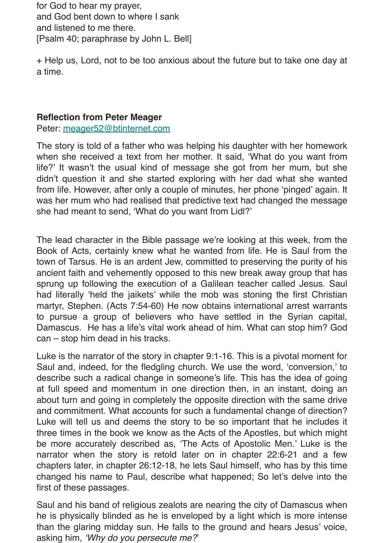for God to hear my prayer, and God bent down to where I sank and listened to me there. [Psalm 40; paraphrase by John L. Bell]

+ Help us, Lord, not to be too anxious about the future but to take one day at a time.

#### **Reflection from Peter Meager**

Peter: [meager52@btinternet.com](mailto:meager52@btinternet.com)

The story is told of a father who was helping his daughter with her homework when she received a text from her mother. It said, 'What do you want from life?' It wasn't the usual kind of message she got from her mum, but she didn't question it and she started exploring with her dad what she wanted from life. However, after only a couple of minutes, her phone 'pinged' again. It was her mum who had realised that predictive text had changed the message she had meant to send, 'What do you want from Lidl?'

The lead character in the Bible passage we're looking at this week, from the Book of Acts, certainly knew what he wanted from life. He is Saul from the town of Tarsus. He is an ardent Jew, committed to preserving the purity of his ancient faith and vehemently opposed to this new break away group that has sprung up following the execution of a Galilean teacher called Jesus. Saul had literally 'held the jaikets' while the mob was stoning the first Christian martyr, Stephen. (Acts 7:54-60) He now obtains international arrest warrants to pursue a group of believers who have settled in the Syrian capital, Damascus. He has a life's vital work ahead of him. What can stop him? God can – stop him dead in his tracks.

Luke is the narrator of the story in chapter 9:1-16. This is a pivotal moment for Saul and, indeed, for the fledgling church. We use the word, 'conversion,' to describe such a radical change in someone's life. This has the idea of going at full speed and momentum in one direction then, in an instant, doing an about turn and going in completely the opposite direction with the same drive and commitment. What accounts for such a fundamental change of direction? Luke will tell us and deems the story to be so important that he includes it three times in the book we know as the Acts of the Apostles, but which might be more accurately described as, 'The Acts of Apostolic Men.' Luke is the narrator when the story is retold later on in chapter 22:6-21 and a few chapters later, in chapter 26:12-18, he lets Saul himself, who has by this time changed his name to Paul, describe what happened; So let's delve into the first of these passages.

Saul and his band of religious zealots are nearing the city of Damascus when he is physically blinded as he is enveloped by a light which is more intense than the glaring midday sun. He falls to the ground and hears Jesus' voice, asking him, *'Why do you persecute me?*'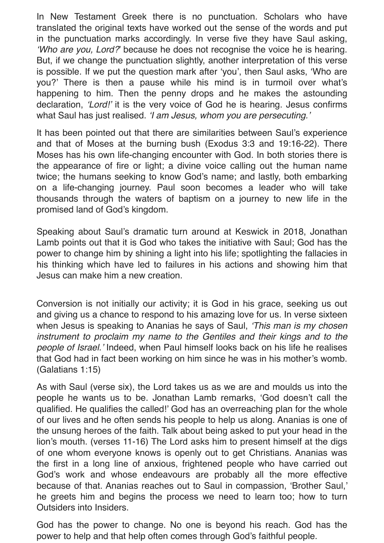In New Testament Greek there is no punctuation. Scholars who have translated the original texts have worked out the sense of the words and put in the punctuation marks accordingly. In verse five they have Saul asking, *'Who are you, Lord?*' because he does not recognise the voice he is hearing. But, if we change the punctuation slightly, another interpretation of this verse is possible. If we put the question mark after 'you', then Saul asks, 'Who are you?' There is then a pause while his mind is in turmoil over what's happening to him. Then the penny drops and he makes the astounding declaration, *'Lord!'* it is the very voice of God he is hearing. Jesus confirms what Saul has just realised. *'I am Jesus, whom you are persecuting.'*

It has been pointed out that there are similarities between Saul's experience and that of Moses at the burning bush (Exodus 3:3 and 19:16-22). There Moses has his own life-changing encounter with God. In both stories there is the appearance of fire or light; a divine voice calling out the human name twice; the humans seeking to know God's name; and lastly, both embarking on a life-changing journey. Paul soon becomes a leader who will take thousands through the waters of baptism on a journey to new life in the promised land of God's kingdom.

Speaking about Saul's dramatic turn around at Keswick in 2018, Jonathan Lamb points out that it is God who takes the initiative with Saul; God has the power to change him by shining a light into his life; spotlighting the fallacies in his thinking which have led to failures in his actions and showing him that Jesus can make him a new creation.

Conversion is not initially our activity; it is God in his grace, seeking us out and giving us a chance to respond to his amazing love for us. In verse sixteen when Jesus is speaking to Ananias he says of Saul, *'This man is my chosen instrument to proclaim my name to the Gentiles and their kings and to the people of Israel.'* Indeed, when Paul himself looks back on his life he realises that God had in fact been working on him since he was in his mother's womb. (Galatians 1:15)

As with Saul (verse six), the Lord takes us as we are and moulds us into the people he wants us to be. Jonathan Lamb remarks, 'God doesn't call the qualified. He qualifies the called!' God has an overreaching plan for the whole of our lives and he often sends his people to help us along. Ananias is one of the unsung heroes of the faith. Talk about being asked to put your head in the lion's mouth. (verses 11-16) The Lord asks him to present himself at the digs of one whom everyone knows is openly out to get Christians. Ananias was the first in a long line of anxious, frightened people who have carried out God's work and whose endeavours are probably all the more effective because of that. Ananias reaches out to Saul in compassion, 'Brother Saul,' he greets him and begins the process we need to learn too; how to turn Outsiders into Insiders.

God has the power to change. No one is beyond his reach. God has the power to help and that help often comes through God's faithful people.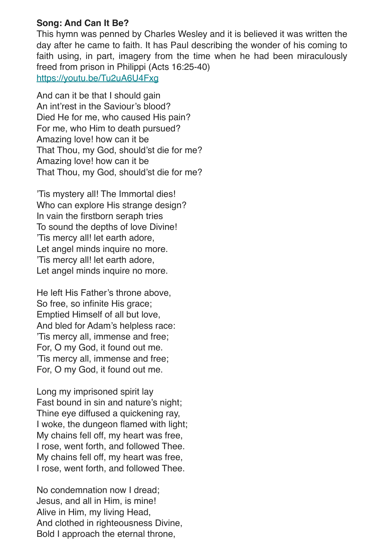#### **Song: And Can It Be?**

This hymn was penned by Charles Wesley and it is believed it was written the day after he came to faith. It has Paul describing the wonder of his coming to faith using, in part, imagery from the time when he had been miraculously freed from prison in Philippi (Acts 16:25-40) <https://youtu.be/Tu2uA6U4Fxg>

And can it be that I should gain An int'rest in the Saviour's blood? Died He for me, who caused His pain? For me, who Him to death pursued? Amazing love! how can it be That Thou, my God, should'st die for me? Amazing love! how can it be That Thou, my God, should'st die for me?

'Tis mystery all! The Immortal dies! Who can explore His strange design? In vain the firstborn seraph tries To sound the depths of love Divine! 'Tis mercy all! let earth adore, Let angel minds inquire no more. 'Tis mercy all! let earth adore, Let angel minds inquire no more.

He left His Father's throne above, So free, so infinite His grace; Emptied Himself of all but love, And bled for Adam's helpless race: 'Tis mercy all, immense and free; For, O my God, it found out me. 'Tis mercy all, immense and free; For, O my God, it found out me.

Long my imprisoned spirit lay Fast bound in sin and nature's night; Thine eye diffused a quickening ray. I woke, the dungeon flamed with light; My chains fell off, my heart was free, I rose, went forth, and followed Thee. My chains fell off, my heart was free, I rose, went forth, and followed Thee.

No condemnation now I dread; Jesus, and all in Him, is mine! Alive in Him, my living Head, And clothed in righteousness Divine, Bold I approach the eternal throne,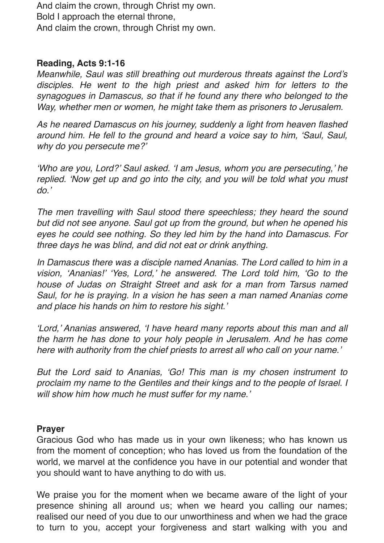And claim the crown, through Christ my own. Bold I approach the eternal throne, And claim the crown, through Christ my own.

#### **Reading, Acts 9:1-16**

*Meanwhile, Saul was still breathing out murderous threats against the Lord's disciples. He went to the high priest and asked him for letters to the synagogues in Damascus, so that if he found any there who belonged to the Way, whether men or women, he might take them as prisoners to Jerusalem.*

*As he neared Damascus on his journey, suddenly a light from heaven flashed around him. He fell to the ground and heard a voice say to him, 'Saul, Saul, why do you persecute me?'*

*'Who are you, Lord?' Saul asked. 'I am Jesus, whom you are persecuting,' he replied. 'Now get up and go into the city, and you will be told what you must do.'*

*The men travelling with Saul stood there speechless; they heard the sound but did not see anyone. Saul got up from the ground, but when he opened his eyes he could see nothing. So they led him by the hand into Damascus. For three days he was blind, and did not eat or drink anything.*

*In Damascus there was a disciple named Ananias. The Lord called to him in a vision, 'Ananias!' 'Yes, Lord,' he answered. The Lord told him, 'Go to the house of Judas on Straight Street and ask for a man from Tarsus named Saul, for he is praying. In a vision he has seen a man named Ananias come and place his hands on him to restore his sight.'*

*'Lord,' Ananias answered, 'I have heard many reports about this man and all the harm he has done to your holy people in Jerusalem. And he has come here with authority from the chief priests to arrest all who call on your name.'*

*But the Lord said to Ananias, 'Go! This man is my chosen instrument to proclaim my name to the Gentiles and their kings and to the people of Israel. I will show him how much he must suffer for my name.'*

#### **Prayer**

Gracious God who has made us in your own likeness; who has known us from the moment of conception; who has loved us from the foundation of the world, we marvel at the confidence you have in our potential and wonder that you should want to have anything to do with us.

We praise you for the moment when we became aware of the light of your presence shining all around us; when we heard you calling our names; realised our need of you due to our unworthiness and when we had the grace to turn to you, accept your forgiveness and start walking with you and